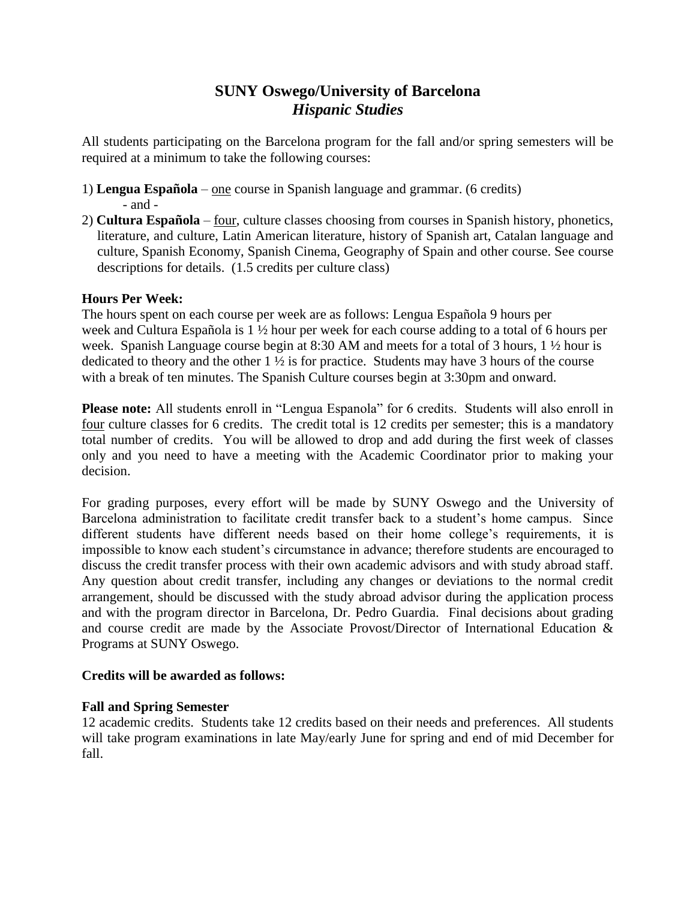# **SUNY Oswego/University of Barcelona** *Hispanic Studies*

All students participating on the Barcelona program for the fall and/or spring semesters will be required at a minimum to take the following courses:

- 1) **Lengua Española** one course in Spanish language and grammar. (6 credits) - and -
- 2) **Cultura Española** four, culture classes choosing from courses in Spanish history, phonetics, literature, and culture, Latin American literature, history of Spanish art, Catalan language and culture, Spanish Economy, Spanish Cinema, Geography of Spain and other course. See course descriptions for details. (1.5 credits per culture class)

# **Hours Per Week:**

The hours spent on each course per week are as follows: Lengua Española 9 hours per week and Cultura Española is 1 ½ hour per week for each course adding to a total of 6 hours per week. Spanish Language course begin at 8:30 AM and meets for a total of 3 hours, 1 ½ hour is dedicated to theory and the other 1 ½ is for practice. Students may have 3 hours of the course with a break of ten minutes. The Spanish Culture courses begin at 3:30pm and onward.

**Please note:** All students enroll in "Lengua Espanola" for 6 credits. Students will also enroll in four culture classes for 6 credits. The credit total is 12 credits per semester; this is a mandatory total number of credits. You will be allowed to drop and add during the first week of classes only and you need to have a meeting with the Academic Coordinator prior to making your decision.

For grading purposes, every effort will be made by SUNY Oswego and the University of Barcelona administration to facilitate credit transfer back to a student's home campus. Since different students have different needs based on their home college's requirements, it is impossible to know each student's circumstance in advance; therefore students are encouraged to discuss the credit transfer process with their own academic advisors and with study abroad staff. Any question about credit transfer, including any changes or deviations to the normal credit arrangement, should be discussed with the study abroad advisor during the application process and with the program director in Barcelona, Dr. Pedro Guardia. Final decisions about grading and course credit are made by the Associate Provost/Director of International Education & Programs at SUNY Oswego.

## **Credits will be awarded as follows:**

## **Fall and Spring Semester**

12 academic credits. Students take 12 credits based on their needs and preferences. All students will take program examinations in late May/early June for spring and end of mid December for fall.